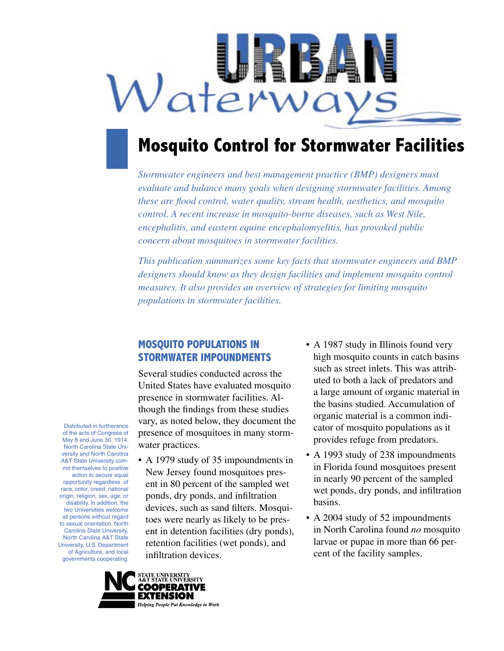

# **Mosquito Control for Stormwater Facilities**

*Stormwater engineers and best management practice (BMP) designers must evaluate and balance many goals when designing stormwater facilities. Among these are flood control, water quality, stream health, aesthetics, and mosquito control. A recent increase in mosquito-borne diseases, such as West Nile, encephalitis, and eastern equine encephalomyelitis, has provoked public concern about mosquitoes in stormwater facilities.* 

*This publication summarizes some key facts that stormwater engineers and BMP designers should know as they design facilities and implement mosquito control measures. It also provides an overview of strategies for limiting mosquito populations in stormwater facilities.*

## **MOSQUITO POPULATIONS IN STORMWATER IMPOUNDMENTS**

Several studies conducted across the United States have evaluated mosquito presence in stormwater facilities. Although the findings from these studies vary, as noted below, they document the presence of mosquitoes in many stormwater practices.

- A 1979 study of 35 impoundments in New Jersey found mosquitoes present in 80 percent of the sampled wet ponds, dry ponds, and infiltration devices, such as sand filters. Mosquitoes were nearly as likely to be present in detention facilities (dry ponds), retention facilities (wet ponds), and infiltration devices.
- A 1987 study in Illinois found very high mosquito counts in catch basins such as street inlets. This was attributed to both a lack of predators and a large amount of organic material in the basins studied. Accumulation of organic material is a common indicator of mosquito populations as it provides refuge from predators.
- A 1993 study of 238 impoundments in Florida found mosquitoes present in nearly 90 percent of the sampled wet ponds, dry ponds, and infiltration basins.
- A 2004 study of 52 impoundments in North Carolina found *no* mosquito larvae or pupae in more than 66 percent of the facility samples.

Distributed in furtherance of the acts of Congress of May 8 and June 30, 1914. North Carolina State University and North Carolina A&T State University commit themselves to positive action to secure equal opportunity regardless of race, color, creed, national origin, religion, sex, age, or disability. In addition, the two Universities welcome all persons without regard to sexual orientation. North Carolina State University, North Carolina A&T State University, U.S. Department of Agriculture, and local governments cooperating.

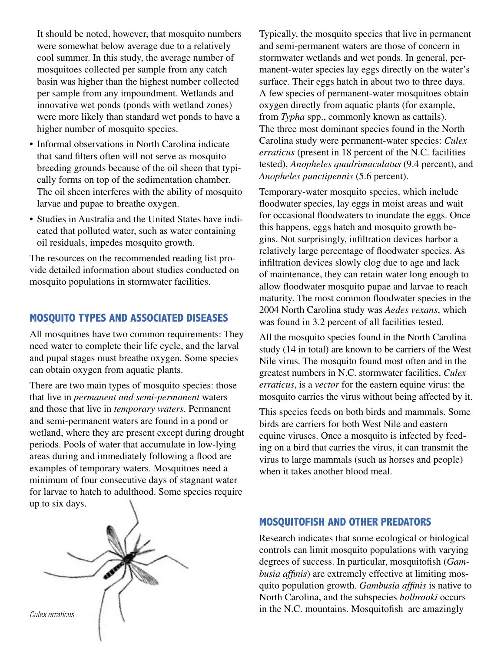It should be noted, however, that mosquito numbers were somewhat below average due to a relatively cool summer. In this study, the average number of mosquitoes collected per sample from any catch basin was higher than the highest number collected per sample from any impoundment. Wetlands and innovative wet ponds (ponds with wetland zones) were more likely than standard wet ponds to have a higher number of mosquito species.

- Informal observations in North Carolina indicate that sand filters often will not serve as mosquito breeding grounds because of the oil sheen that typically forms on top of the sedimentation chamber. The oil sheen interferes with the ability of mosquito larvae and pupae to breathe oxygen.
- Studies in Australia and the United States have indicated that polluted water, such as water containing oil residuals, impedes mosquito growth.

The resources on the recommended reading list provide detailed information about studies conducted on mosquito populations in stormwater facilities.

# **MOSQUITO TYPES AND ASSOCIATED DISEASES**

All mosquitoes have two common requirements: They need water to complete their life cycle, and the larval and pupal stages must breathe oxygen. Some species can obtain oxygen from aquatic plants.

There are two main types of mosquito species: those that live in *permanent and semi-permanent* waters and those that live in *temporary waters*. Permanent and semi-permanent waters are found in a pond or wetland, where they are present except during drought periods. Pools of water that accumulate in low-lying areas during and immediately following a flood are examples of temporary waters. Mosquitoes need a minimum of four consecutive days of stagnant water for larvae to hatch to adulthood. Some species require up to six days.



Typically, the mosquito species that live in permanent and semi-permanent waters are those of concern in stormwater wetlands and wet ponds. In general, permanent-water species lay eggs directly on the water's surface. Their eggs hatch in about two to three days. A few species of permanent-water mosquitoes obtain oxygen directly from aquatic plants (for example, from *Typha* spp., commonly known as cattails). The three most dominant species found in the North Carolina study were permanent-water species: *Culex erraticus* (present in 18 percent of the N.C. facilities tested), *Anopheles quadrimaculatus* (9.4 percent), and *Anopheles punctipennis* (5.6 percent).

Temporary-water mosquito species, which include floodwater species, lay eggs in moist areas and wait for occasional floodwaters to inundate the eggs. Once this happens, eggs hatch and mosquito growth begins. Not surprisingly, infiltration devices harbor a relatively large percentage of floodwater species. As infiltration devices slowly clog due to age and lack of maintenance, they can retain water long enough to allow floodwater mosquito pupae and larvae to reach maturity. The most common floodwater species in the 2004 North Carolina study was *Aedes vexans*, which was found in 3.2 percent of all facilities tested.

All the mosquito species found in the North Carolina study (14 in total) are known to be carriers of the West Nile virus. The mosquito found most often and in the greatest numbers in N.C. stormwater facilities, *Culex erraticus*, is a *vector* for the eastern equine virus: the mosquito carries the virus without being affected by it.

This species feeds on both birds and mammals. Some birds are carriers for both West Nile and eastern equine viruses. Once a mosquito is infected by feeding on a bird that carries the virus, it can transmit the virus to large mammals (such as horses and people) when it takes another blood meal.

#### **MOSQUITOFISH AND OTHER PREDATORS**

Research indicates that some ecological or biological controls can limit mosquito populations with varying degrees of success. In particular, mosquitofish (*Gambusia affinis*) are extremely effective at limiting mosquito population growth. *Gambusia affinis* is native to North Carolina, and the subspecies *holbrooki* occurs Culex erraticus  $\bigcap$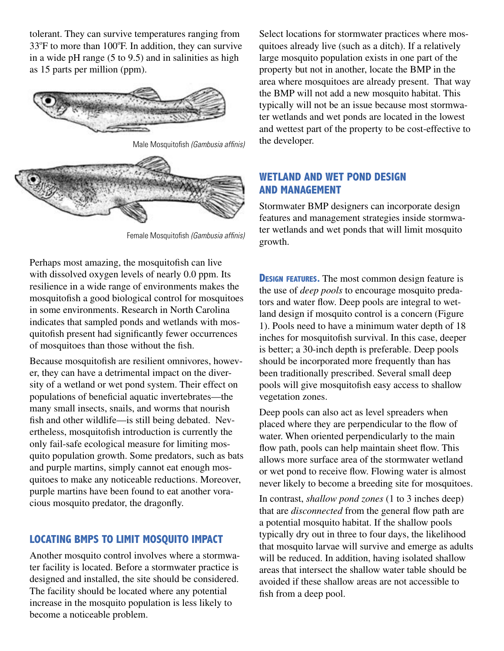tolerant. They can survive temperatures ranging from 33°F to more than 100°F. In addition, they can survive in a wide pH range (5 to 9.5) and in salinities as high as 15 parts per million (ppm).



Male Mosquitofish (Gambusia affinis)



Female Mosquitofish (Gambusia affinis)

Perhaps most amazing, the mosquitofish can live with dissolved oxygen levels of nearly 0.0 ppm. Its resilience in a wide range of environments makes the mosquitofish a good biological control for mosquitoes in some environments. Research in North Carolina indicates that sampled ponds and wetlands with mosquitofish present had significantly fewer occurrences of mosquitoes than those without the fish.

Because mosquitofish are resilient omnivores, however, they can have a detrimental impact on the diversity of a wetland or wet pond system. Their effect on populations of beneficial aquatic invertebrates—the many small insects, snails, and worms that nourish fish and other wildlife—is still being debated. Nevertheless, mosquitofish introduction is currently the only fail-safe ecological measure for limiting mosquito population growth. Some predators, such as bats and purple martins, simply cannot eat enough mosquitoes to make any noticeable reductions. Moreover, purple martins have been found to eat another voracious mosquito predator, the dragonfly.

# **LOCATING BMPS TO LIMIT MOSQUITO IMPACT**

Another mosquito control involves where a stormwater facility is located. Before a stormwater practice is designed and installed, the site should be considered. The facility should be located where any potential increase in the mosquito population is less likely to become a noticeable problem.

Select locations for stormwater practices where mosquitoes already live (such as a ditch). If a relatively large mosquito population exists in one part of the property but not in another, locate the BMP in the area where mosquitoes are already present. That way the BMP will not add a new mosquito habitat. This typically will not be an issue because most stormwater wetlands and wet ponds are located in the lowest and wettest part of the property to be cost-effective to the developer.

# **WETLAND AND WET POND DESIGN AND MANAGEMENT**

Stormwater BMP designers can incorporate design features and management strategies inside stormwater wetlands and wet ponds that will limit mosquito growth.

**DESIGN FEATURES.** The most common design feature is the use of *deep pools* to encourage mosquito predators and water flow. Deep pools are integral to wetland design if mosquito control is a concern (Figure 1). Pools need to have a minimum water depth of 18 inches for mosquitofish survival. In this case, deeper is better; a 30-inch depth is preferable. Deep pools should be incorporated more frequently than has been traditionally prescribed. Several small deep pools will give mosquitofish easy access to shallow vegetation zones.

Deep pools can also act as level spreaders when placed where they are perpendicular to the flow of water. When oriented perpendicularly to the main flow path, pools can help maintain sheet flow. This allows more surface area of the stormwater wetland or wet pond to receive flow. Flowing water is almost never likely to become a breeding site for mosquitoes.

In contrast, *shallow pond zones* (1 to 3 inches deep) that are *disconnected* from the general flow path are a potential mosquito habitat. If the shallow pools typically dry out in three to four days, the likelihood that mosquito larvae will survive and emerge as adults will be reduced. In addition, having isolated shallow areas that intersect the shallow water table should be avoided if these shallow areas are not accessible to fish from a deep pool.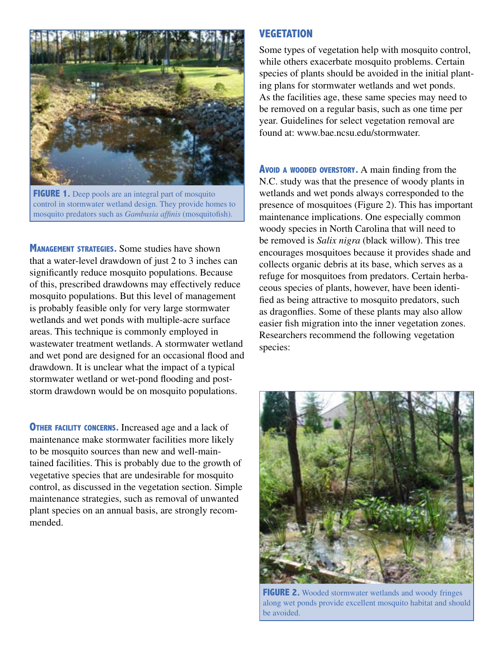

**FIGURE 1.** Deep pools are an integral part of mosquito control in stormwater wetland design. They provide homes to mosquito predators such as *Gambusia affinis* (mosquitofish).

**MANAGEMENT STRATEGIES.** Some studies have shown that a water-level drawdown of just 2 to 3 inches can significantly reduce mosquito populations. Because of this, prescribed drawdowns may effectively reduce mosquito populations. But this level of management is probably feasible only for very large stormwater wetlands and wet ponds with multiple-acre surface areas. This technique is commonly employed in wastewater treatment wetlands. A stormwater wetland and wet pond are designed for an occasional flood and drawdown. It is unclear what the impact of a typical stormwater wetland or wet-pond flooding and poststorm drawdown would be on mosquito populations.

**OTHER FACILITY CONCERNS.** Increased age and a lack of maintenance make stormwater facilities more likely to be mosquito sources than new and well-maintained facilities. This is probably due to the growth of vegetative species that are undesirable for mosquito control, as discussed in the vegetation section. Simple maintenance strategies, such as removal of unwanted plant species on an annual basis, are strongly recommended.

#### **VEGETATION**

Some types of vegetation help with mosquito control, while others exacerbate mosquito problems. Certain species of plants should be avoided in the initial planting plans for stormwater wetlands and wet ponds. As the facilities age, these same species may need to be removed on a regular basis, such as one time per year. Guidelines for select vegetation removal are found at: www.bae.ncsu.edu/stormwater.

**AVOID <sup>A</sup> WOODED OVERSTORY.** A main finding from the N.C. study was that the presence of woody plants in wetlands and wet ponds always corresponded to the presence of mosquitoes (Figure 2). This has important maintenance implications. One especially common woody species in North Carolina that will need to be removed is *Salix nigra* (black willow). This tree encourages mosquitoes because it provides shade and collects organic debris at its base, which serves as a refuge for mosquitoes from predators. Certain herbaceous species of plants, however, have been identified as being attractive to mosquito predators, such as dragonflies. Some of these plants may also allow easier fish migration into the inner vegetation zones. Researchers recommend the following vegetation species:



**FIGURE 2.** Wooded stormwater wetlands and woody fringes along wet ponds provide excellent mosquito habitat and should be avoided.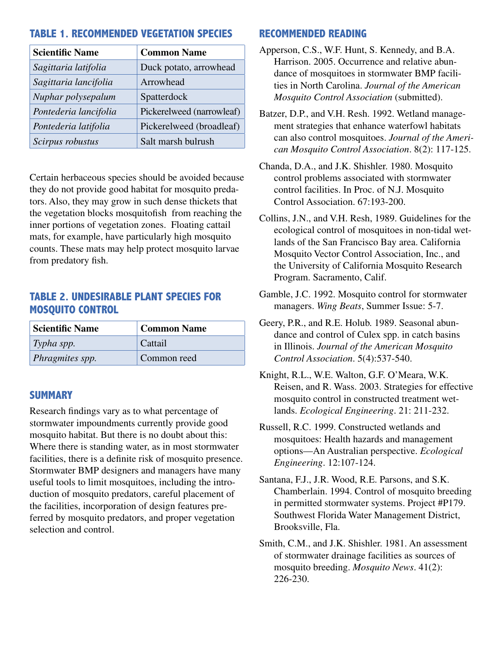# **TABLE 1. RECOMMENDED VEGETATION SPECIES**

| <b>Scientific Name</b> | <b>Common Name</b>        |
|------------------------|---------------------------|
| Sagittaria latifolia   | Duck potato, arrowhead    |
| Sagittaria lancifolia  | Arrowhead                 |
| Nuphar polysepalum     | Spatterdock               |
| Pontederia lancifolia  | Pickerelweed (narrowleaf) |
| Pontederia latifolia   | Pickerelweed (broadleaf)  |
| Scirpus robustus       | Salt marsh bulrush        |

Certain herbaceous species should be avoided because they do not provide good habitat for mosquito predators. Also, they may grow in such dense thickets that the vegetation blocks mosquitofish from reaching the inner portions of vegetation zones. Floating cattail mats, for example, have particularly high mosquito counts. These mats may help protect mosquito larvae from predatory fish.

# **TABLE 2. UNDESIRABLE PLANT SPECIES FOR MOSQUITO CONTROL**

| Scientific Name   | <b>Common Name</b> |
|-------------------|--------------------|
| $\mid$ Typha spp. | Cattail            |
| Phragmites spp.   | Common reed        |

# **SUMMARY**

Research findings vary as to what percentage of stormwater impoundments currently provide good mosquito habitat. But there is no doubt about this: Where there is standing water, as in most stormwater facilities, there is a definite risk of mosquito presence. Stormwater BMP designers and managers have many useful tools to limit mosquitoes, including the introduction of mosquito predators, careful placement of the facilities, incorporation of design features preferred by mosquito predators, and proper vegetation selection and control.

## **RECOMMENDED READING**

- Apperson, C.S., W.F. Hunt, S. Kennedy, and B.A. Harrison. 2005. Occurrence and relative abundance of mosquitoes in stormwater BMP facilities in North Carolina. *Journal of the American Mosquito Control Association* (submitted).
- Batzer, D.P., and V.H. Resh. 1992. Wetland management strategies that enhance waterfowl habitats can also control mosquitoes. *Journal of the American Mosquito Control Association*. 8(2): 117-125.
- Chanda, D.A., and J.K. Shishler. 1980. Mosquito control problems associated with stormwater control facilities. In Proc. of N.J. Mosquito Control Association. 67:193-200.
- Collins, J.N., and V.H. Resh, 1989. Guidelines for the ecological control of mosquitoes in non-tidal wetlands of the San Francisco Bay area. California Mosquito Vector Control Association, Inc., and the University of California Mosquito Research Program. Sacramento, Calif.
- Gamble, J.C. 1992. Mosquito control for stormwater managers. *Wing Beats*, Summer Issue: 5-7.
- Geery, P.R., and R.E. Holub. 1989. Seasonal abundance and control of Culex spp. in catch basins in Illinois. *Journal of the American Mosquito Control Association*. 5(4):537-540.
- Knight, R.L., W.E. Walton, G.F. O'Meara, W.K. Reisen, and R. Wass. 2003. Strategies for effective mosquito control in constructed treatment wetlands. *Ecological Engineering*. 21: 211-232.
- Russell, R.C. 1999. Constructed wetlands and mosquitoes: Health hazards and management options—An Australian perspective. *Ecological Engineering*. 12:107-124.
- Santana, F.J., J.R. Wood, R.E. Parsons, and S.K. Chamberlain. 1994. Control of mosquito breeding in permitted stormwater systems. Project #P179. Southwest Florida Water Management District, Brooksville, Fla.
- Smith, C.M., and J.K. Shishler. 1981. An assessment of stormwater drainage facilities as sources of mosquito breeding. *Mosquito News*. 41(2): 226-230.